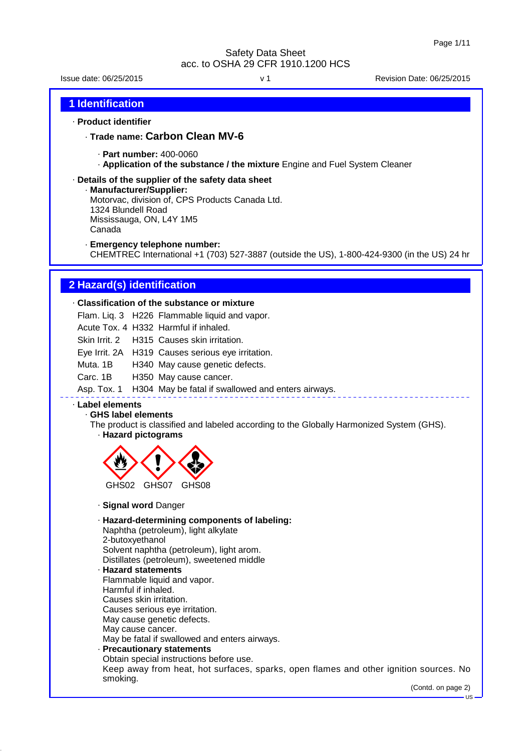Issue date: 06/25/2015 v 1 Revision Date: 06/25/2015

#### **1 Identification**

#### · **Product identifier**

· **Trade name: Carbon Clean MV-6**

- · **Part number:** 400-0060
- · **Application of the substance / the mixture** Engine and Fuel System Cleaner

#### · **Details of the supplier of the safety data sheet**

- · **Manufacturer/Supplier:** Motorvac, division of, CPS Products Canada Ltd. 1324 Blundell Road Mississauga, ON, L4Y 1M5 Canada
- · **Emergency telephone number:**

CHEMTREC International +1 (703) 527-3887 (outside the US), 1-800-424-9300 (in the US) 24 hr

#### **2 Hazard(s) identification**

#### · **Classification of the substance or mixture**

Flam. Liq. 3 H226 Flammable liquid and vapor.

Acute Tox. 4 H332 Harmful if inhaled.

Skin Irrit. 2 H315 Causes skin irritation.

Eye Irrit. 2A H319 Causes serious eye irritation.

Muta. 1B H340 May cause genetic defects.

#### Carc. 1B H350 May cause cancer.

Asp. Tox. 1 H304 May be fatal if swallowed and enters airways.

### · **Label elements**

· **GHS label elements**

The product is classified and labeled according to the Globally Harmonized System (GHS).

# · **Hazard pictograms**



· **Signal word** Danger

· **Hazard-determining components of labeling:** Naphtha (petroleum), light alkylate 2-butoxyethanol Solvent naphtha (petroleum), light arom. Distillates (petroleum), sweetened middle

### · **Hazard statements**

- Flammable liquid and vapor. Harmful if inhaled.
- Causes skin irritation.
- Causes serious eye irritation.
- May cause genetic defects.
- May cause cancer.

May be fatal if swallowed and enters airways.

#### · **Precautionary statements**

Obtain special instructions before use. Keep away from heat, hot surfaces, sparks, open flames and other ignition sources. No smoking.

(Contd. on page 2)

US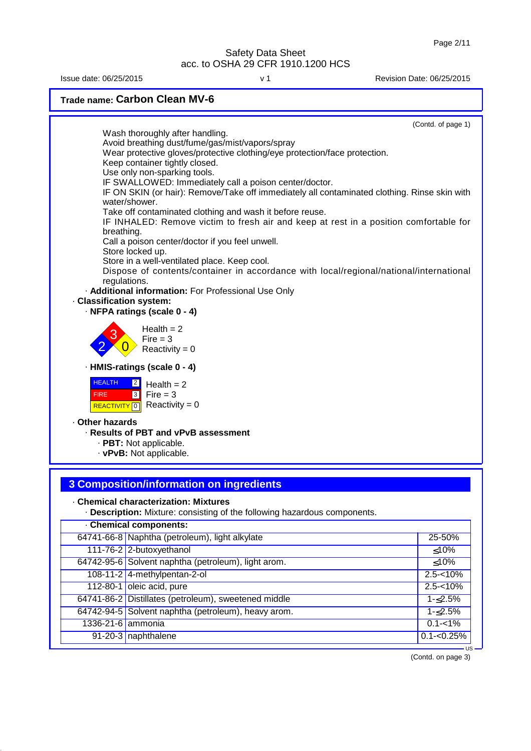Issue date: 06/25/2015 v 1 Revision Date: 06/25/2015

**Trade name: Carbon Clean MV-6** (Contd. of page 1) Wash thoroughly after handling. Avoid breathing dust/fume/gas/mist/vapors/spray Wear protective gloves/protective clothing/eye protection/face protection. Keep container tightly closed. Use only non-sparking tools. IF SWALLOWED: Immediately call a poison center/doctor. IF ON SKIN (or hair): Remove/Take off immediately all contaminated clothing. Rinse skin with water/shower. Take off contaminated clothing and wash it before reuse. IF INHALED: Remove victim to fresh air and keep at rest in a position comfortable for breathing. Call a poison center/doctor if you feel unwell. Store locked up. Store in a well-ventilated place. Keep cool. Dispose of contents/container in accordance with local/regional/national/international regulations. · **Additional information:** For Professional Use Only · **Classification system:** · **NFPA ratings (scale 0 - 4)** 2 3  $\overline{0}$  $Health = 2$  $Fire = 3$ Reactivity =  $0$ · **HMIS-ratings (scale 0 - 4) HEALTH**  FIRE <mark>| REACTIVITY</mark> | 0 2  $\overline{3}$  $Health = 2$  $Fire = 3$  $Reactivity = 0$ · **Other hazards** · **Results of PBT and vPvB assessment** · **PBT:** Not applicable. · **vPvB:** Not applicable.

### **3 Composition/information on ingredients**

#### · **Chemical characterization: Mixtures**

· **Description:** Mixture: consisting of the following hazardous components.

| <b>Chemical components:</b> |                                                      |               |  |
|-----------------------------|------------------------------------------------------|---------------|--|
|                             | 64741-66-8 Naphtha (petroleum), light alkylate       | 25-50%        |  |
|                             | 111-76-2 2-butoxyethanol                             | $\leq 10\%$   |  |
|                             | 64742-95-6 Solvent naphtha (petroleum), light arom.  | ≤10%          |  |
|                             | 108-11-2 4-methylpentan-2-ol                         | $2.5 - 10%$   |  |
|                             | 112-80-1 oleic acid, pure                            | $2.5 - 10%$   |  |
|                             | 64741-86-2 Distillates (petroleum), sweetened middle | 1-≤2.5%       |  |
|                             | 64742-94-5 Solvent naphtha (petroleum), heavy arom.  | $1 - 2.5%$    |  |
| 1336-21-6 ammonia           |                                                      | $0.1 - 1\%$   |  |
|                             | 91-20-3 naphthalene                                  | $0.1 - 0.25%$ |  |
|                             |                                                      | ∙∪s           |  |

(Contd. on page 3)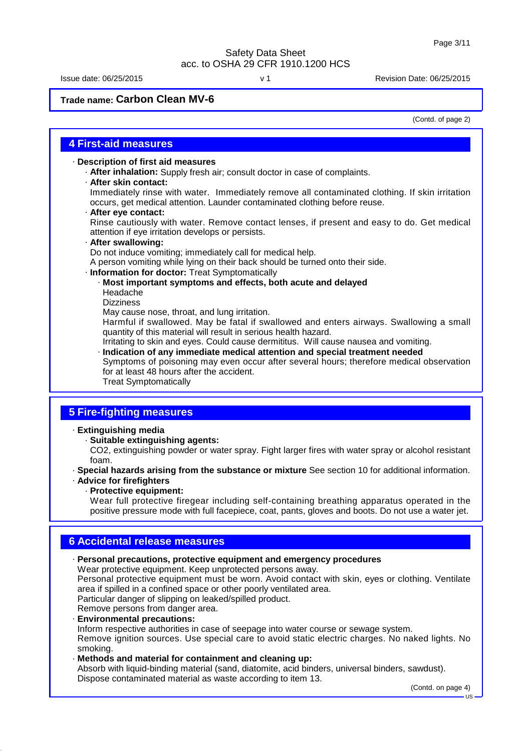Issue date: 06/25/2015 v 1 Revision Date: 06/25/2015

**Trade name: Carbon Clean MV-6**

(Contd. of page 2)

### **4 First-aid measures**

· **Description of first aid measures**

- · **After inhalation:** Supply fresh air; consult doctor in case of complaints.
- · **After skin contact:**

Immediately rinse with water. Immediately remove all contaminated clothing. If skin irritation occurs, get medical attention. Launder contaminated clothing before reuse.

· **After eye contact:**

Rinse cautiously with water. Remove contact lenses, if present and easy to do. Get medical attention if eye irritation develops or persists.

· **After swallowing:**

Do not induce vomiting; immediately call for medical help.

A person vomiting while lying on their back should be turned onto their side.

#### · **Information for doctor:** Treat Symptomatically

- · **Most important symptoms and effects, both acute and delayed** Headache
	- **Dizziness**

May cause nose, throat, and lung irritation.

Harmful if swallowed. May be fatal if swallowed and enters airways. Swallowing a small quantity of this material will result in serious health hazard.

Irritating to skin and eyes. Could cause dermititus. Will cause nausea and vomiting.

· **Indication of any immediate medical attention and special treatment needed**

Symptoms of poisoning may even occur after several hours; therefore medical observation for at least 48 hours after the accident.

Treat Symptomatically

### **5 Fire-fighting measures**

· **Extinguishing media**

- · **Suitable extinguishing agents:**
- CO2, extinguishing powder or water spray. Fight larger fires with water spray or alcohol resistant foam.
- · **Special hazards arising from the substance or mixture** See section 10 for additional information.
- · **Advice for firefighters**
	- · **Protective equipment:**

Wear full protective firegear including self-containing breathing apparatus operated in the positive pressure mode with full facepiece, coat, pants, gloves and boots. Do not use a water jet.

### **6 Accidental release measures**

| · Personal precautions, protective equipment and emergency procedures<br>Wear protective equipment. Keep unprotected persons away.<br>Personal protective equipment must be worn. Avoid contact with skin, eyes or clothing. Ventilate<br>area if spilled in a confined space or other poorly ventilated area.<br>Particular danger of slipping on leaked/spilled product.<br>Remove persons from danger area.<br>· Environmental precautions:<br>Inform respective authorities in case of seepage into water course or sewage system. |
|----------------------------------------------------------------------------------------------------------------------------------------------------------------------------------------------------------------------------------------------------------------------------------------------------------------------------------------------------------------------------------------------------------------------------------------------------------------------------------------------------------------------------------------|
| Remove ignition sources. Use special care to avoid static electric charges. No naked lights. No<br>smoking.<br>· Methods and material for containment and cleaning up:<br>Absorb with liquid-binding material (sand, diatomite, acid binders, universal binders, sawdust).<br>Dispose contaminated material as waste according to item 13.<br>(Contd. on page 4)                                                                                                                                                                       |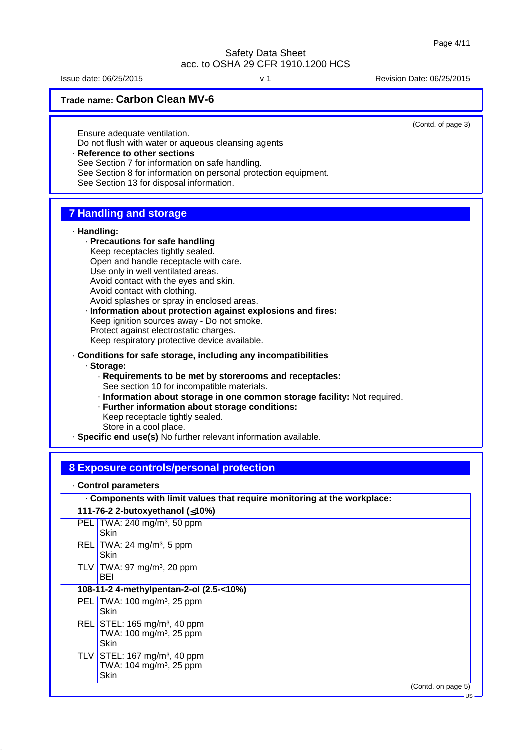Issue date: 06/25/2015 v 1 Revision Date: 06/25/2015

**Trade name: Carbon Clean MV-6**

(Contd. of page 3)

US

Ensure adequate ventilation. Do not flush with water or aqueous cleansing agents **Reference to other sections** 

See Section 7 for information on safe handling.

See Section 8 for information on personal protection equipment.

See Section 13 for disposal information.

### **7 Handling and storage**

#### · **Handling:**

· **Precautions for safe handling** Keep receptacles tightly sealed. Open and handle receptacle with care. Use only in well ventilated areas. Avoid contact with the eyes and skin. Avoid contact with clothing. Avoid splashes or spray in enclosed areas.

· **Information about protection against explosions and fires:** Keep ignition sources away - Do not smoke. Protect against electrostatic charges. Keep respiratory protective device available.

· **Conditions for safe storage, including any incompatibilities**

· **Storage:**

- · **Requirements to be met by storerooms and receptacles:** See section 10 for incompatible materials.
- · **Information about storage in one common storage facility:** Not required.
- · **Further information about storage conditions:** Keep receptacle tightly sealed.

Store in a cool place.

· **Specific end use(s)** No further relevant information available.

### **8 Exposure controls/personal protection**

· **Control parameters**

| . Components with limit values that require monitoring at the workplace:                  |  |  |
|-------------------------------------------------------------------------------------------|--|--|
| 111-76-2 2-butoxyethanol (≤10%)                                                           |  |  |
| PEL TWA: 240 mg/m <sup>3</sup> , 50 ppm<br><b>Skin</b>                                    |  |  |
| REL TWA: 24 mg/m <sup>3</sup> , 5 ppm<br>Skin                                             |  |  |
| TLV TWA: 97 mg/m <sup>3</sup> , 20 ppm<br>BEI                                             |  |  |
| 108-11-2 4-methylpentan-2-ol (2.5-<10%)                                                   |  |  |
| PEL TWA: $100 \text{ mg/m}^3$ , 25 ppm<br>Skin                                            |  |  |
| REL STEL: 165 mg/m <sup>3</sup> , 40 ppm<br>TWA: 100 mg/m <sup>3</sup> , 25 ppm<br>Skin   |  |  |
| TLV   STEL: 167 mg/m <sup>3</sup> , 40 ppm<br>TWA: 104 mg/m <sup>3</sup> , 25 ppm<br>Skin |  |  |
| (Contd. on page 5)                                                                        |  |  |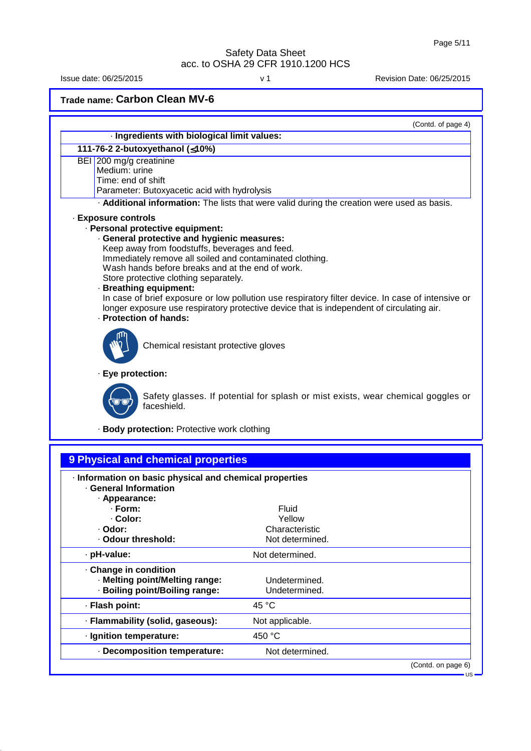Issue date: 06/25/2015 v 1 Revision Date: 06/25/2015

**Trade name: Carbon Clean MV-6**

· **Flash point:** 45 °C

· **Ignition temperature:** 450 °C

· **Flammability (solid, gaseous):** Not applicable.

· **Decomposition temperature:** Not determined.

|                                                                                                                                                                                                                                                                                                                                                                       | (Contd. of page 4)                                                                                                                                                                             |
|-----------------------------------------------------------------------------------------------------------------------------------------------------------------------------------------------------------------------------------------------------------------------------------------------------------------------------------------------------------------------|------------------------------------------------------------------------------------------------------------------------------------------------------------------------------------------------|
| · Ingredients with biological limit values:                                                                                                                                                                                                                                                                                                                           |                                                                                                                                                                                                |
| 111-76-2 2-butoxyethanol (≤10%)                                                                                                                                                                                                                                                                                                                                       |                                                                                                                                                                                                |
| BEI 200 mg/g creatinine<br>Medium: urine<br>Time: end of shift<br>Parameter: Butoxyacetic acid with hydrolysis                                                                                                                                                                                                                                                        |                                                                                                                                                                                                |
|                                                                                                                                                                                                                                                                                                                                                                       | . Additional information: The lists that were valid during the creation were used as basis.                                                                                                    |
| · Exposure controls<br>· Personal protective equipment:<br>· General protective and hygienic measures:<br>Keep away from foodstuffs, beverages and feed.<br>Immediately remove all soiled and contaminated clothing.<br>Wash hands before breaks and at the end of work.<br>Store protective clothing separately.<br>· Breathing equipment:<br>· Protection of hands: | In case of brief exposure or low pollution use respiratory filter device. In case of intensive or<br>longer exposure use respiratory protective device that is independent of circulating air. |
| Chemical resistant protective gloves<br>· Eye protection:                                                                                                                                                                                                                                                                                                             |                                                                                                                                                                                                |
| faceshield.                                                                                                                                                                                                                                                                                                                                                           | Safety glasses. If potential for splash or mist exists, wear chemical goggles or                                                                                                               |
| · Body protection: Protective work clothing                                                                                                                                                                                                                                                                                                                           |                                                                                                                                                                                                |
| 9 Physical and chemical properties<br>· Information on basic physical and chemical properties<br>· General Information<br>· Appearance:                                                                                                                                                                                                                               |                                                                                                                                                                                                |
| · Form:<br>· Color:<br>· Odor:<br>· Odour threshold:                                                                                                                                                                                                                                                                                                                  | Fluid<br>Yellow<br>Characteristic<br>Not determined.                                                                                                                                           |
| · pH-value:                                                                                                                                                                                                                                                                                                                                                           | Not determined.                                                                                                                                                                                |
| Change in condition<br>· Melting point/Melting range:<br>· Boiling point/Boiling range:                                                                                                                                                                                                                                                                               | Undetermined.<br>Undetermined.                                                                                                                                                                 |

(Contd. on page 6)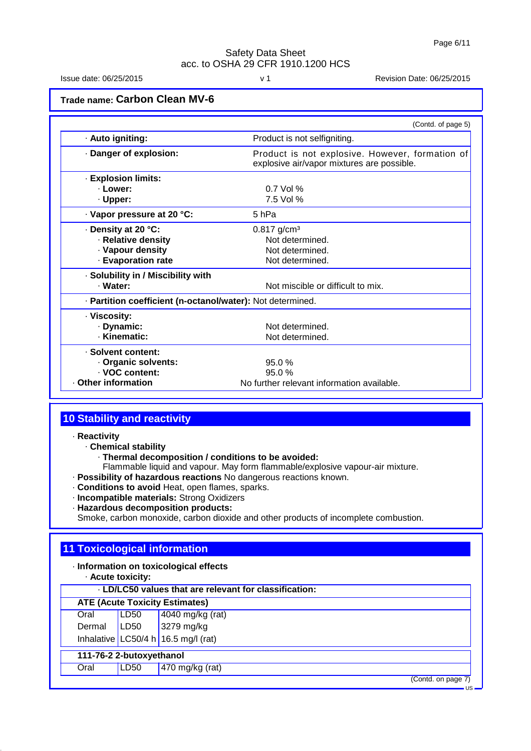US

### Safety Data Sheet acc. to OSHA 29 CFR 1910.1200 HCS

Issue date: 06/25/2015 v 1 Revision Date: 06/25/2015

**Trade name: Carbon Clean MV-6**

|                                                            | (Contd. of page 5)                                                                            |
|------------------------------------------------------------|-----------------------------------------------------------------------------------------------|
| · Auto igniting:                                           | Product is not selfigniting.                                                                  |
| Danger of explosion:                                       | Product is not explosive. However, formation of<br>explosive air/vapor mixtures are possible. |
| · Explosion limits:                                        |                                                                                               |
| · Lower:                                                   | $0.7$ Vol %                                                                                   |
| · Upper:                                                   | 7.5 Vol %                                                                                     |
| · Vapor pressure at 20 °C:                                 | 5 hPa                                                                                         |
| · Density at 20 °C:                                        | $0.817$ g/cm <sup>3</sup>                                                                     |
| · Relative density                                         | Not determined.                                                                               |
| · Vapour density                                           | Not determined.                                                                               |
| · Evaporation rate                                         | Not determined.                                                                               |
| · Solubility in / Miscibility with                         |                                                                                               |
| · Water:                                                   | Not miscible or difficult to mix.                                                             |
| · Partition coefficient (n-octanol/water): Not determined. |                                                                                               |
| · Viscosity:                                               |                                                                                               |
| · Dynamic:                                                 | Not determined.                                                                               |
| · Kinematic:                                               | Not determined.                                                                               |
| · Solvent content:                                         |                                                                                               |
| · Organic solvents:                                        | 95.0%                                                                                         |
| · VOC content:                                             | 95.0%                                                                                         |
| Other information                                          | No further relevant information available.                                                    |

### **10 Stability and reactivity**

· **Reactivity**

· **Chemical stability**

- · **Thermal decomposition / conditions to be avoided:**
- Flammable liquid and vapour. May form flammable/explosive vapour-air mixture.

· **Possibility of hazardous reactions** No dangerous reactions known.

- · **Conditions to avoid** Heat, open flames, sparks.
- · **Incompatible materials:** Strong Oxidizers
- · **Hazardous decomposition products:**

Smoke, carbon monoxide, carbon dioxide and other products of incomplete combustion.

### **11 Toxicological information**

· **Information on toxicological effects** · **Acute toxicity:**

|        | . LD/LC50 values that are relevant for classification: |                                     |  |  |
|--------|--------------------------------------------------------|-------------------------------------|--|--|
|        | <b>ATE (Acute Toxicity Estimates)</b>                  |                                     |  |  |
| Oral   | LD50                                                   | 4040 mg/kg (rat)                    |  |  |
| Dermal | LD50                                                   | 3279 mg/kg                          |  |  |
|        |                                                        | Inhalative LC50/4 h 16.5 mg/l (rat) |  |  |
|        | 111-76-2 2-butoxyethanol                               |                                     |  |  |
| Oral   | LD50                                                   | 470 mg/kg (rat)                     |  |  |
|        |                                                        | (Contd. on page 7)                  |  |  |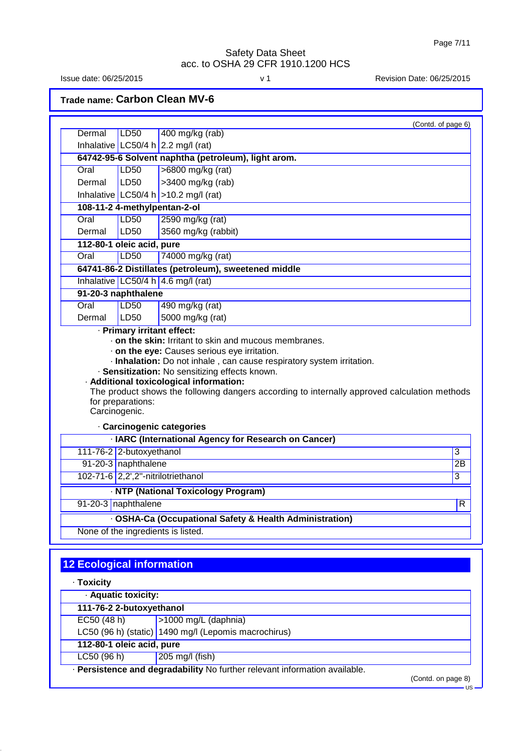Issue date: 06/25/2015 v 1 Revision Date: 06/25/2015

**Trade name: Carbon Clean MV-6**

| Dermal                           | LD50                                            | (Contd. of page 6)<br>400 mg/kg (rab)                                                                                                                                                                                            |                                        |
|----------------------------------|-------------------------------------------------|----------------------------------------------------------------------------------------------------------------------------------------------------------------------------------------------------------------------------------|----------------------------------------|
|                                  |                                                 | Inhalative LC50/4 h $2.2$ mg/l (rat)                                                                                                                                                                                             |                                        |
|                                  |                                                 | 64742-95-6 Solvent naphtha (petroleum), light arom.                                                                                                                                                                              |                                        |
| Oral                             | <b>LD50</b>                                     | >6800 mg/kg (rat)                                                                                                                                                                                                                |                                        |
| Dermal                           | LD50                                            | >3400 mg/kg (rab)                                                                                                                                                                                                                |                                        |
|                                  |                                                 | Inhalative LC50/4 h $>10.2$ mg/l (rat)                                                                                                                                                                                           |                                        |
|                                  |                                                 | 108-11-2 4-methylpentan-2-ol                                                                                                                                                                                                     |                                        |
| Oral                             | <b>LD50</b>                                     | 2590 mg/kg (rat)                                                                                                                                                                                                                 |                                        |
| Dermal                           | LD50                                            | 3560 mg/kg (rabbit)                                                                                                                                                                                                              |                                        |
|                                  | 112-80-1 oleic acid, pure                       |                                                                                                                                                                                                                                  |                                        |
| Oral                             | LD50                                            | 74000 mg/kg (rat)                                                                                                                                                                                                                |                                        |
|                                  |                                                 | 64741-86-2 Distillates (petroleum), sweetened middle                                                                                                                                                                             |                                        |
|                                  |                                                 | Inhalative LC50/4 h 4.6 mg/l (rat)                                                                                                                                                                                               |                                        |
|                                  | 91-20-3 naphthalene                             |                                                                                                                                                                                                                                  |                                        |
| Oral                             | <b>LD50</b>                                     | 490 mg/kg (rat)                                                                                                                                                                                                                  |                                        |
| Dermal                           | LD50                                            | 5000 mg/kg (rat)                                                                                                                                                                                                                 |                                        |
|                                  |                                                 | . on the skin: Irritant to skin and mucous membranes.<br>. on the eye: Causes serious eye irritation.<br>· Inhalation: Do not inhale, can cause respiratory system irritation.<br>· Sensitization: No sensitizing effects known. |                                        |
|                                  | for preparations:                               | · Additional toxicological information:<br>The product shows the following dangers according to internally approved calculation methods                                                                                          |                                        |
| Carcinogenic.                    |                                                 |                                                                                                                                                                                                                                  |                                        |
|                                  |                                                 | · Carcinogenic categories                                                                                                                                                                                                        |                                        |
|                                  |                                                 | · IARC (International Agency for Research on Cancer)                                                                                                                                                                             |                                        |
|                                  | 111-76-2 2-butoxyethanol<br>91-20-3 naphthalene |                                                                                                                                                                                                                                  |                                        |
|                                  |                                                 | 102-71-6 2,2',2"-nitrilotriethanol                                                                                                                                                                                               |                                        |
|                                  |                                                 |                                                                                                                                                                                                                                  |                                        |
|                                  | 91-20-3 naphthalene                             | · NTP (National Toxicology Program)                                                                                                                                                                                              |                                        |
|                                  |                                                 |                                                                                                                                                                                                                                  |                                        |
|                                  |                                                 | · OSHA-Ca (Occupational Safety & Health Administration)                                                                                                                                                                          |                                        |
|                                  |                                                 | None of the ingredients is listed.                                                                                                                                                                                               | $\overline{3}$<br>2B<br>$\overline{3}$ |
| <b>12 Ecological information</b> |                                                 |                                                                                                                                                                                                                                  |                                        |

· **Aquatic toxicity:**

**111-76-2 2-butoxyethanol** EC50 (48 h) >1000 mg/L (daphnia)

LC50 (96 h) (static) 1490 mg/l (Lepomis macrochirus)

**112-80-1 oleic acid, pure**

LC50 (96 h) 205 mg/l (fish)

· **Persistence and degradability** No further relevant information available.

(Contd. on page 8)

US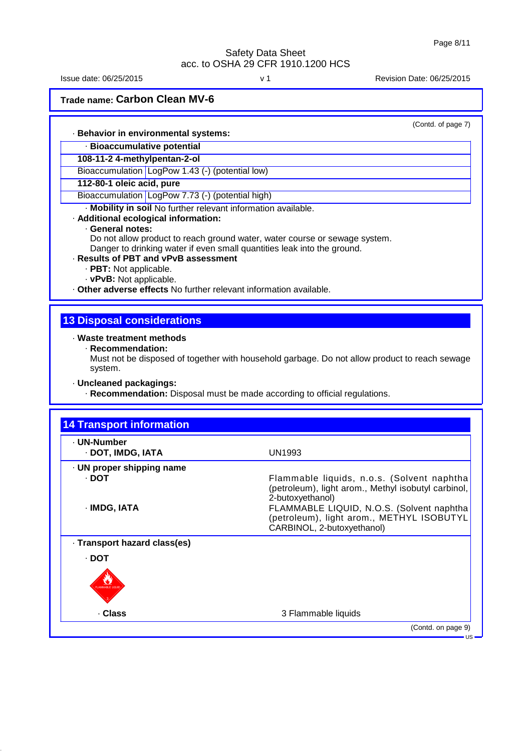Issue date: 06/25/2015 v 1 Revision Date: 06/25/2015

**Trade name: Carbon Clean MV-6**

(Contd. of page 7)

#### · **Behavior in environmental systems:**

· **Bioaccumulative potential**

### **108-11-2 4-methylpentan-2-ol**

Bioaccumulation LogPow 1.43 (-) (potential low)

#### **112-80-1 oleic acid, pure**

Bioaccumulation LogPow 7.73 (-) (potential high)

· **Mobility in soil** No further relevant information available.

#### · **Additional ecological information:**

#### · **General notes:**

Do not allow product to reach ground water, water course or sewage system. Danger to drinking water if even small quantities leak into the ground.

#### · **Results of PBT and vPvB assessment**

- · **PBT:** Not applicable.
- · **vPvB:** Not applicable.

· **Other adverse effects** No further relevant information available.

### **13 Disposal considerations**

#### · **Waste treatment methods**

· **Recommendation:**

Must not be disposed of together with household garbage. Do not allow product to reach sewage system.

· **Uncleaned packagings:**

· **Recommendation:** Disposal must be made according to official regulations.

| · UN-Number<br>· DOT, IMDG, IATA                   | UN1993                                                                                                                                                                                                                                        |
|----------------------------------------------------|-----------------------------------------------------------------------------------------------------------------------------------------------------------------------------------------------------------------------------------------------|
| · UN proper shipping name<br>· DOT<br>· IMDG, IATA | Flammable liquids, n.o.s. (Solvent naphtha<br>(petroleum), light arom., Methyl isobutyl carbinol,<br>2-butoxyethanol)<br>FLAMMABLE LIQUID, N.O.S. (Solvent naphtha<br>(petroleum), light arom., METHYL ISOBUTYL<br>CARBINOL, 2-butoxyethanol) |
| · Transport hazard class(es)                       |                                                                                                                                                                                                                                               |
| $\cdot$ DOT<br>LAMMABLE LIQ                        |                                                                                                                                                                                                                                               |
| . Class                                            | 3 Flammable liquids                                                                                                                                                                                                                           |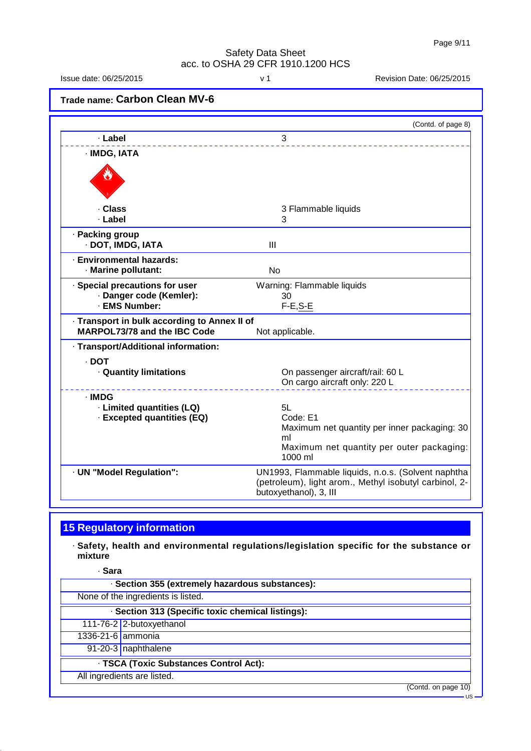Issue date: 06/25/2015 v 1 Revision Date: 06/25/2015

(Contd. of page 8)

**Trade name: Carbon Clean MV-6** · **Label** 3 · **IMDG, IATA**

| · Class                                                                             | 3 Flammable liquids                                                                                                                    |
|-------------------------------------------------------------------------------------|----------------------------------------------------------------------------------------------------------------------------------------|
| · Label                                                                             | 3                                                                                                                                      |
| · Packing group<br>· DOT, IMDG, IATA                                                | Ш                                                                                                                                      |
| · Environmental hazards:<br>· Marine pollutant:                                     | N <sub>0</sub>                                                                                                                         |
| · Special precautions for user                                                      | Warning: Flammable liquids                                                                                                             |
| · Danger code (Kemler):                                                             | 30                                                                                                                                     |
| · EMS Number:                                                                       | $F-E, S-E$                                                                                                                             |
| · Transport in bulk according to Annex II of<br><b>MARPOL73/78 and the IBC Code</b> | Not applicable.                                                                                                                        |
| · Transport/Additional information:                                                 |                                                                                                                                        |
| · DOT<br><b>Quantity limitations</b>                                                | On passenger aircraft/rail: 60 L<br>On cargo aircraft only: 220 L                                                                      |
| · IMDG                                                                              |                                                                                                                                        |
| · Limited quantities (LQ)                                                           | 5L                                                                                                                                     |
| · Excepted quantities (EQ)                                                          | Code: E1                                                                                                                               |
|                                                                                     | Maximum net quantity per inner packaging: 30                                                                                           |
|                                                                                     | ml<br>Maximum net quantity per outer packaging:                                                                                        |
|                                                                                     | 1000 ml                                                                                                                                |
| · UN "Model Regulation":                                                            | UN1993, Flammable liquids, n.o.s. (Solvent naphtha<br>(petroleum), light arom., Methyl isobutyl carbinol, 2-<br>butoxyethanol), 3, III |
|                                                                                     |                                                                                                                                        |

## **15 Regulatory information**

· **Safety, health and environmental regulations/legislation specific for the substance or mixture**

· **Sara**

| · Section 355 (extremely hazardous substances):   |                     |
|---------------------------------------------------|---------------------|
| None of the ingredients is listed.                |                     |
| · Section 313 (Specific toxic chemical listings): |                     |
| 111-76-2 2-butoxyethanol                          |                     |
| 1336-21-6 ammonia                                 |                     |
| 91-20-3 naphthalene                               |                     |
| · TSCA (Toxic Substances Control Act):            |                     |
| All ingredients are listed.                       |                     |
|                                                   | (Contd. on page 10) |
|                                                   | ∙∪s                 |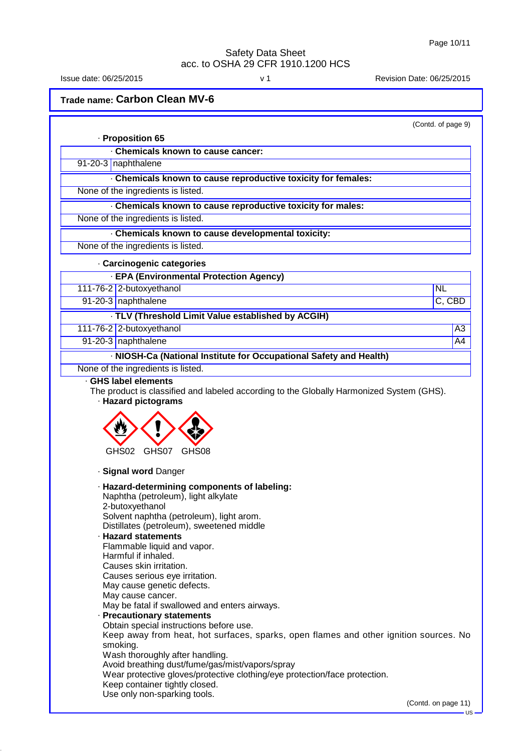Issue date: 06/25/2015 v 1 Revision Date: 06/25/2015

**Trade name: Carbon Clean MV-6**

| · Proposition 65                                                                                                                                                                                                                                                                                                                                                                                                                                                                                                                                                                                                                                                                                                                                                                                                                                                  |                     |
|-------------------------------------------------------------------------------------------------------------------------------------------------------------------------------------------------------------------------------------------------------------------------------------------------------------------------------------------------------------------------------------------------------------------------------------------------------------------------------------------------------------------------------------------------------------------------------------------------------------------------------------------------------------------------------------------------------------------------------------------------------------------------------------------------------------------------------------------------------------------|---------------------|
| Chemicals known to cause cancer:                                                                                                                                                                                                                                                                                                                                                                                                                                                                                                                                                                                                                                                                                                                                                                                                                                  |                     |
| 91-20-3   naphthalene                                                                                                                                                                                                                                                                                                                                                                                                                                                                                                                                                                                                                                                                                                                                                                                                                                             |                     |
| Chemicals known to cause reproductive toxicity for females:                                                                                                                                                                                                                                                                                                                                                                                                                                                                                                                                                                                                                                                                                                                                                                                                       |                     |
| None of the ingredients is listed.                                                                                                                                                                                                                                                                                                                                                                                                                                                                                                                                                                                                                                                                                                                                                                                                                                |                     |
| . Chemicals known to cause reproductive toxicity for males:                                                                                                                                                                                                                                                                                                                                                                                                                                                                                                                                                                                                                                                                                                                                                                                                       |                     |
| None of the ingredients is listed.                                                                                                                                                                                                                                                                                                                                                                                                                                                                                                                                                                                                                                                                                                                                                                                                                                |                     |
| · Chemicals known to cause developmental toxicity:                                                                                                                                                                                                                                                                                                                                                                                                                                                                                                                                                                                                                                                                                                                                                                                                                |                     |
| None of the ingredients is listed.                                                                                                                                                                                                                                                                                                                                                                                                                                                                                                                                                                                                                                                                                                                                                                                                                                |                     |
| · Carcinogenic categories                                                                                                                                                                                                                                                                                                                                                                                                                                                                                                                                                                                                                                                                                                                                                                                                                                         |                     |
| · EPA (Environmental Protection Agency)                                                                                                                                                                                                                                                                                                                                                                                                                                                                                                                                                                                                                                                                                                                                                                                                                           |                     |
| 111-76-2 2-butoxyethanol                                                                                                                                                                                                                                                                                                                                                                                                                                                                                                                                                                                                                                                                                                                                                                                                                                          | <b>NL</b>           |
| 91-20-3 naphthalene                                                                                                                                                                                                                                                                                                                                                                                                                                                                                                                                                                                                                                                                                                                                                                                                                                               | C, CBD              |
| · TLV (Threshold Limit Value established by ACGIH)                                                                                                                                                                                                                                                                                                                                                                                                                                                                                                                                                                                                                                                                                                                                                                                                                |                     |
| 111-76-2 2-butoxyethanol                                                                                                                                                                                                                                                                                                                                                                                                                                                                                                                                                                                                                                                                                                                                                                                                                                          | A3                  |
| 91-20-3 naphthalene                                                                                                                                                                                                                                                                                                                                                                                                                                                                                                                                                                                                                                                                                                                                                                                                                                               | A4                  |
| · NIOSH-Ca (National Institute for Occupational Safety and Health)                                                                                                                                                                                                                                                                                                                                                                                                                                                                                                                                                                                                                                                                                                                                                                                                |                     |
| None of the ingredients is listed.<br>· GHS label elements                                                                                                                                                                                                                                                                                                                                                                                                                                                                                                                                                                                                                                                                                                                                                                                                        |                     |
| GHS07<br>GHS02<br>GHS08                                                                                                                                                                                                                                                                                                                                                                                                                                                                                                                                                                                                                                                                                                                                                                                                                                           |                     |
| · Signal word Danger                                                                                                                                                                                                                                                                                                                                                                                                                                                                                                                                                                                                                                                                                                                                                                                                                                              |                     |
| · Hazard-determining components of labeling:<br>Naphtha (petroleum), light alkylate<br>2-butoxyethanol<br>Solvent naphtha (petroleum), light arom.<br>Distillates (petroleum), sweetened middle<br>· Hazard statements<br>Flammable liquid and vapor.<br>Harmful if inhaled.<br>Causes skin irritation.<br>Causes serious eye irritation.<br>May cause genetic defects.<br>May cause cancer.<br>May be fatal if swallowed and enters airways.<br>· Precautionary statements<br>Obtain special instructions before use.<br>Keep away from heat, hot surfaces, sparks, open flames and other ignition sources. No<br>smoking.<br>Wash thoroughly after handling.<br>Avoid breathing dust/fume/gas/mist/vapors/spray<br>Wear protective gloves/protective clothing/eye protection/face protection.<br>Keep container tightly closed.<br>Use only non-sparking tools. |                     |
|                                                                                                                                                                                                                                                                                                                                                                                                                                                                                                                                                                                                                                                                                                                                                                                                                                                                   | (Contd. on page 11) |